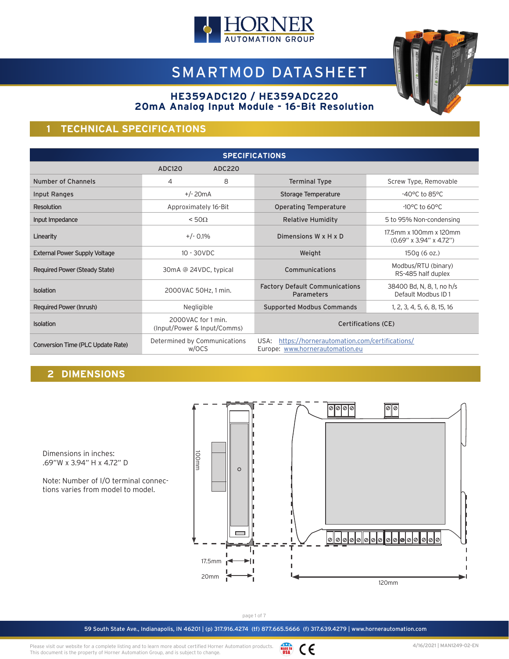

# SMARTMOD DATASHEET



#### **HE359ADC120 / HE359ADC220 20mA Analog Input Module - 16-Bit Resolution**

# **1 TECHNICAL SPECIFICATIONS**

| <b>SPECIFICATIONS</b>                |                       |                                                   |                                                                                         |                                                                  |
|--------------------------------------|-----------------------|---------------------------------------------------|-----------------------------------------------------------------------------------------|------------------------------------------------------------------|
|                                      | ADC120                | ADC220                                            |                                                                                         |                                                                  |
| Number of Channels                   | 4                     | 8                                                 | <b>Terminal Type</b>                                                                    | Screw Type, Removable                                            |
| Input Ranges                         |                       | $+/- 20mA$                                        | Storage Temperature                                                                     | $-40^{\circ}$ C to 85 $^{\circ}$ C                               |
| Resolution                           |                       | Approximately 16-Bit                              | <b>Operating Temperature</b>                                                            | $-10^{\circ}$ C to 60 $^{\circ}$ C                               |
| Input Impedance                      |                       | $< 50\Omega$                                      | <b>Relative Humidity</b>                                                                | 5 to 95% Non-condensing                                          |
| Linearity                            | $+/- 0.1\%$           |                                                   | Dimensions W x H x D                                                                    | 17.5mm x 100mm x 120mm<br>$(0.69'' \times 3.94'' \times 4.72'')$ |
| <b>External Power Supply Voltage</b> | 10 - 30VDC            |                                                   | Weight                                                                                  | 150q(6 oz.)                                                      |
| <b>Required Power (Steady State)</b> | 30mA @ 24VDC, typical |                                                   | Communications                                                                          | Modbus/RTU (binary)<br>RS-485 half duplex                        |
| Isolation                            | 2000VAC 50Hz, 1 min.  |                                                   | <b>Factory Default Communications</b><br>Parameters                                     | 38400 Bd, N, 8, 1, no h/s<br>Default Modbus ID1                  |
| Required Power (Inrush)              |                       | Negligible                                        | <b>Supported Modbus Commands</b>                                                        | 1, 2, 3, 4, 5, 6, 8, 15, 16                                      |
| Isolation                            |                       | 2000VAC for 1 min.<br>(Input/Power & Input/Comms) | <b>Certifications (CE)</b>                                                              |                                                                  |
| Conversion Time (PLC Update Rate)    |                       | Determined by Communications<br>w/OCS             | https://hornerautomation.com/certifications/<br>USA:<br>Europe: www.hornerautomation.eu |                                                                  |

# **2 DIMENSIONS**

Dimensions in inches: .69"W x 3.94" H x 4.72" D

Note: Number of I/O terminal connections varies from model to model.



page 1 of 7

59 South State Ave., Indianapolis, IN 46201 | (p) 317.916.4274 (tf) 877.665.5666 (f) 317.639.4279 | www.hornerautomation.com

Please visit our website for a complete listing and to learn more about certified Horner Automation products. This document is the property of Horner Automation Group, and is subject to change.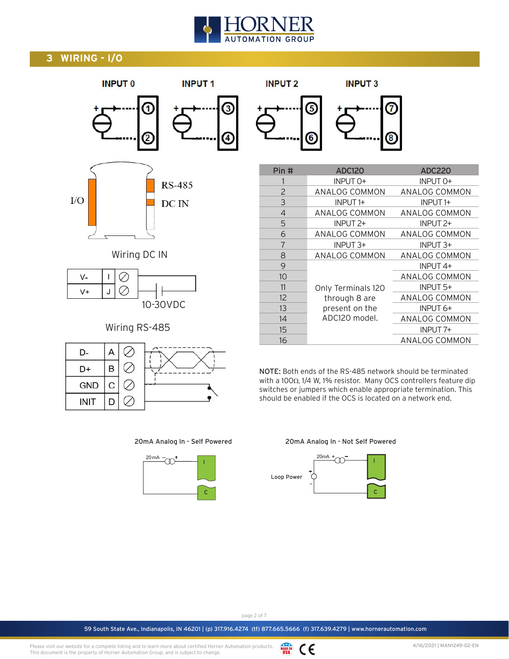# **AUTOMATION GROUP**

# **3 WIRING - I/O**



D

**INIT** 

Ø

| <b>INPUT 2</b> |    | <b>INPUT3</b> |  |
|----------------|----|---------------|--|
|                | A  |               |  |
|                | 61 |               |  |

| Pin #          | <b>ADC120</b>       | <b>ADC220</b>        |
|----------------|---------------------|----------------------|
|                | INPUT 0+            | INPUT 0+             |
| 2              | ANALOG COMMON       | ANALOG COMMON        |
| 3              | INPUT <sub>1+</sub> | INPUT <sub>1+</sub>  |
| $\overline{4}$ | ANALOG COMMON       | ANALOG COMMON        |
| 5              | INPUT 2+            | INPUT 2+             |
| 6              | ANALOG COMMON       | ANALOG COMMON        |
| $\overline{7}$ | INPUT 3+            | INPUT 3+             |
| 8              | ANALOG COMMON       | ANALOG COMMON        |
| 9              |                     | INPUT <sub>4+</sub>  |
| 10             |                     | <b>ANALOG COMMON</b> |
| 11             | Only Terminals 120  | INPUT 5+             |
| 12             | through 8 are       | ANALOG COMMON        |
| 13             | present on the      | INPUT 6+             |
| 14             | ADC120 model.       | ANALOG COMMON        |
| 15             |                     | INPUT <sub>7+</sub>  |
| 16             |                     | ANALOG COMMON        |

NOTE: Both ends of the RS-485 network should be terminated with a 100Ω, 1/4 W, 1% resistor. Many OCS controllers feature dip switches or jumpers which enable appropriate termination. This should be enabled if the OCS is located on a network end.

20mA Analog In - Self Powered



20mA Analog In - Not Self Powered



page 2 of 7

59 South State Ave., Indianapolis, IN 46201 | (p) 317.916.4274 (tf) 877.665.5666 (f) 317.639.4279 | www.hornerautomation.com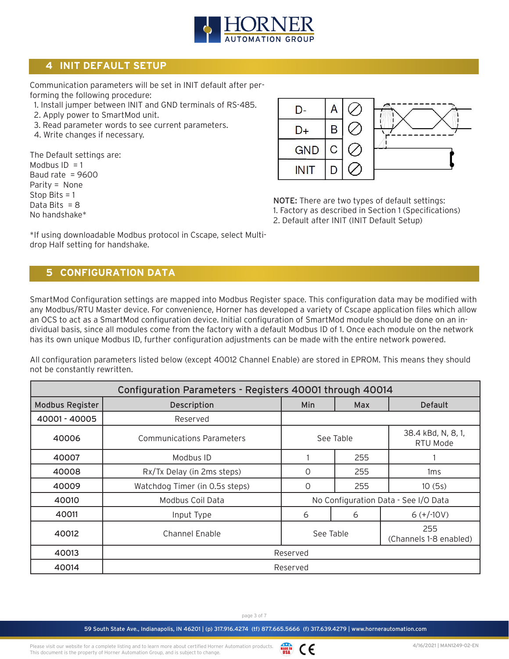

# **4 INIT DEFAULT SETUP**

Communication parameters will be set in INIT default after performing the following procedure:

- 1. Install jumper between INIT and GND terminals of RS-485.
- 2. Apply power to SmartMod unit.
- 3. Read parameter words to see current parameters.
- 4. Write changes if necessary.

The Default settings are: Modbus  $ID = 1$ Baud rate  $= 9600$ Parity = None Stop Bits = 1 Data Bits  $= 8$ No handshake\*



NOTE: There are two types of default settings: 1. Factory as described in Section 1 (Specifications) 2. Default after INIT (INIT Default Setup)

\*If using downloadable Modbus protocol in Cscape, select Multidrop Half setting for handshake.

#### **5 CONFIGURATION DATA**

SmartMod Configuration settings are mapped into Modbus Register space. This configuration data may be modified with any Modbus/RTU Master device. For convenience, Horner has developed a variety of Cscape application files which allow an OCS to act as a SmartMod configuration device. Initial configuration of SmartMod module should be done on an individual basis, since all modules come from the factory with a default Modbus ID of 1. Once each module on the network has its own unique Modbus ID, further configuration adjustments can be made with the entire network powered.

All configuration parameters listed below (except 40012 Channel Enable) are stored in EPROM. This means they should not be constantly rewritten.

| Configuration Parameters - Registers 40001 through 40014 |                                  |                                            |           |                                |
|----------------------------------------------------------|----------------------------------|--------------------------------------------|-----------|--------------------------------|
| <b>Modbus Register</b>                                   | Description                      | Min                                        | Max       | <b>Default</b>                 |
| 40001 - 40005                                            | Reserved                         |                                            |           |                                |
| 40006                                                    | <b>Communications Parameters</b> |                                            | See Table | 38.4 kBd, N, 8, 1,<br>RTU Mode |
| 40007                                                    | Modbus ID                        |                                            | 255       |                                |
| 40008                                                    | Rx/Tx Delay (in 2ms steps)       | $\Omega$                                   | 255       | 1 <sub>ms</sub>                |
| 40009                                                    | Watchdog Timer (in 0.5s steps)   | 0                                          | 255       | 10(5s)                         |
| 40010                                                    | Modbus Coil Data                 | No Configuration Data - See I/O Data       |           |                                |
| 40011                                                    | Input Type                       | 6<br>6                                     |           | $6 (+/10V)$                    |
| 40012                                                    | Channel Enable                   | 255<br>See Table<br>(Channels 1-8 enabled) |           |                                |
| 40013                                                    | Reserved                         |                                            |           |                                |
| 40014                                                    |                                  | Reserved                                   |           |                                |

page 3 of 7

**MADE IN** CE

Please visit our website for a complete listing and to learn more about certified Horner Automation products. This document is the property of Horner Automation Group, and is subject to change.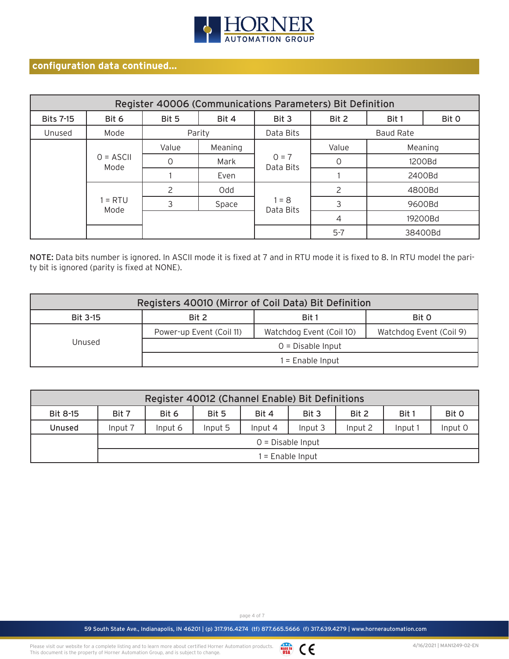

# **configuration data continued...**

| Register 40006 (Communications Parameters) Bit Definition |                     |       |         |                      |         |                  |       |
|-----------------------------------------------------------|---------------------|-------|---------|----------------------|---------|------------------|-------|
| <b>Bits 7-15</b>                                          | Bit 6               | Bit 5 | Bit 4   | Bit 3                | Bit 2   | Bit 1            | Bit 0 |
| Unused                                                    | Mode                |       | Parity  | Data Bits            |         | <b>Baud Rate</b> |       |
|                                                           | Value               |       | Meaning |                      | Value   | Meaning          |       |
|                                                           | $0 = ASCII$<br>Mode | Ω     | Mark    | $0 = 7$<br>Data Bits |         | 1200Bd           |       |
|                                                           |                     |       | Even    |                      |         | 2400Bd           |       |
|                                                           |                     |       | Odd     |                      |         | 4800Bd           |       |
|                                                           | $1 = RTU$<br>Mode   | 3     | Space   | $1 = 8$<br>Data Bits | 3       | 9600Bd           |       |
|                                                           |                     |       |         |                      | 4       | 19200Bd          |       |
|                                                           |                     |       |         |                      | $5 - 7$ | 38400Bd          |       |

NOTE: Data bits number is ignored. In ASCII mode it is fixed at 7 and in RTU mode it is fixed to 8. In RTU model the parity bit is ignored (parity is fixed at NONE).

| Registers 40010 (Mirror of Coil Data) Bit Definition |                                                      |  |                         |  |  |
|------------------------------------------------------|------------------------------------------------------|--|-------------------------|--|--|
| <b>Bit 3-15</b>                                      | Bit 2<br>Bit 1<br>Bit 0                              |  |                         |  |  |
|                                                      | Watchdog Event (Coil 10)<br>Power-up Event (Coil 11) |  | Watchdog Event (Coil 9) |  |  |
| Unused                                               | $0 = Disable Input$                                  |  |                         |  |  |
|                                                      | $1 =$ Enable Input                                   |  |                         |  |  |

| Register 40012 (Channel Enable) Bit Definitions |                                                                      |         |         |         |         |         |         |         |
|-------------------------------------------------|----------------------------------------------------------------------|---------|---------|---------|---------|---------|---------|---------|
| Bit 8-15                                        | Bit 2<br>Bit 0<br>Bit 4<br>Bit 1<br>Bit 7<br>Bit 6<br>Bit 3<br>Bit 5 |         |         |         |         |         |         |         |
| <b>Unused</b>                                   | Input 7                                                              | Input 6 | Input 5 | Input 4 | Input 3 | Input 2 | Input 1 | Input 0 |
|                                                 | $0 = Disable Input$                                                  |         |         |         |         |         |         |         |
|                                                 | $1 =$ Enable Input                                                   |         |         |         |         |         |         |         |

page 4 of 7

59 South State Ave., Indianapolis, IN 46201 | (p) 317.916.4274 (tf) 877.665.5666 (f) 317.639.4279 | www.hornerautomation.com

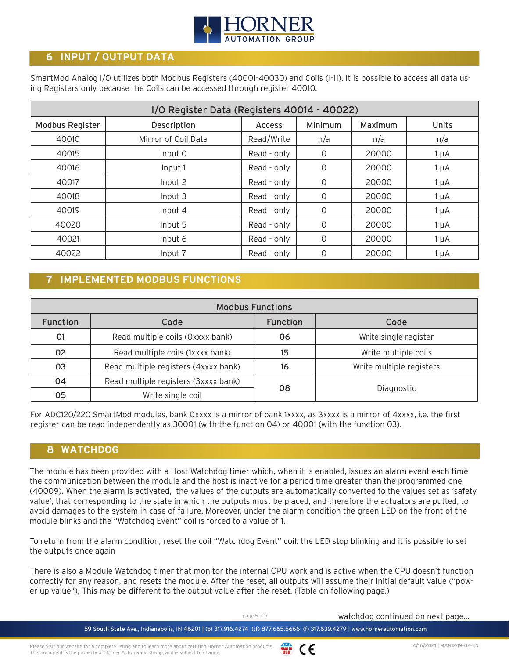

# **6 INPUT / OUTPUT DATA**

SmartMod Analog I/O utilizes both Modbus Registers (40001-40030) and Coils (1-11). It is possible to access all data using Registers only because the Coils can be accessed through register 40010.

| I/O Register Data (Registers 40014 - 40022) |                     |               |          |         |           |
|---------------------------------------------|---------------------|---------------|----------|---------|-----------|
| <b>Modbus Register</b>                      | Description         | <b>Access</b> | Minimum  | Maximum | Units     |
| 40010                                       | Mirror of Coil Data | Read/Write    | n/a      | n/a     | n/a       |
| 40015                                       | Input 0             | Read - only   | O        | 20000   | $1 \mu A$ |
| 40016                                       | Input 1             | Read - only   | O        | 20000   | $1 \mu A$ |
| 40017                                       | Input 2             | Read - only   | $\Omega$ | 20000   | $1 \mu A$ |
| 40018                                       | Input 3             | Read - only   | $\Omega$ | 20000   | $1 \mu A$ |
| 40019                                       | Input 4             | Read - only   | O        | 20000   | $1 \mu A$ |
| 40020                                       | Input 5             | Read - only   | $\Omega$ | 20000   | $1 \mu A$ |
| 40021                                       | Input 6             | Read - only   | $\Omega$ | 20000   | $1 \mu A$ |
| 40022                                       | Input 7             | Read - only   |          | 20000   | $1 \mu A$ |

# **7 IMPLEMENTED MODBUS FUNCTIONS**

| <b>Modbus Functions</b> |                                      |                 |                          |  |
|-------------------------|--------------------------------------|-----------------|--------------------------|--|
| <b>Function</b>         | Code                                 | <b>Function</b> | Code                     |  |
| 01                      | Read multiple coils (Oxxxx bank)     | 06              | Write single register    |  |
| 02                      | Read multiple coils (1xxxx bank)     | 15              | Write multiple coils     |  |
| 03                      | Read multiple registers (4xxxx bank) | 16              | Write multiple registers |  |
| 04                      | Read multiple registers (3xxxx bank) |                 |                          |  |
| 05                      | Write single coil                    | 08              | Diagnostic               |  |

For ADC120/220 SmartMod modules, bank 0xxxx is a mirror of bank 1xxxx, as 3xxxx is a mirror of 4xxxx, i.e. the first register can be read independently as 30001 (with the function 04) or 40001 (with the function 03).

### **8 WATCHDOG**

The module has been provided with a Host Watchdog timer which, when it is enabled, issues an alarm event each time the communication between the module and the host is inactive for a period time greater than the programmed one (40009). When the alarm is activated, the values of the outputs are automatically converted to the values set as 'safety value', that corresponding to the state in which the outputs must be placed, and therefore the actuators are putted, to avoid damages to the system in case of failure. Moreover, under the alarm condition the green LED on the front of the module blinks and the "Watchdog Event" coil is forced to a value of 1.

To return from the alarm condition, reset the coil "Watchdog Event" coil: the LED stop blinking and it is possible to set the outputs once again

There is also a Module Watchdog timer that monitor the internal CPU work and is active when the CPU doesn't function correctly for any reason, and resets the module. After the reset, all outputs will assume their initial default value ("power up value"), This may be different to the output value after the reset. (Table on following page.)

page 5 of 7 watchdog continued on next page...

59 South State Ave., Indianapolis, IN 46201 | (p) 317.916.4274 (tf) 877.665.5666 (f) 317.639.4279 | www.hornerautomation.com

Please visit our website for a complete listing and to learn more about certified Horner Automation products. **MADE IN** CE This document is the property of Horner Automation Group, and is subject to change.

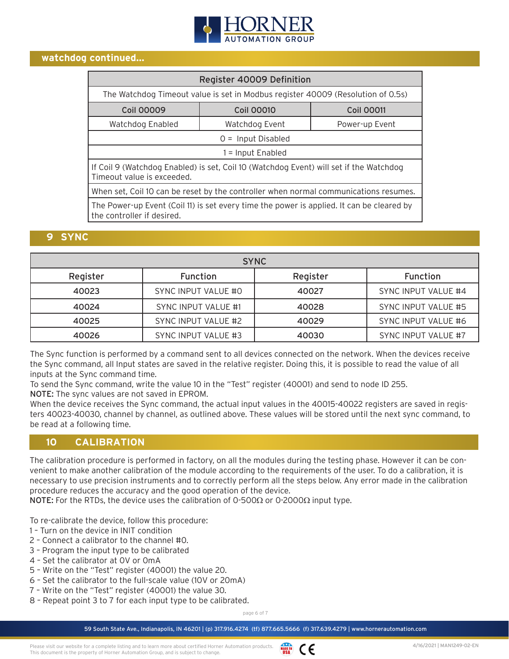

#### **watchdog continued...**

| Register 40009 Definition                                                                                               |                                                                                 |  |  |  |  |
|-------------------------------------------------------------------------------------------------------------------------|---------------------------------------------------------------------------------|--|--|--|--|
|                                                                                                                         | The Watchdog Timeout value is set in Modbus register 40009 (Resolution of 0.5s) |  |  |  |  |
| <b>Coil 00009</b>                                                                                                       | <b>Coil 00010</b><br><b>Coil 00011</b>                                          |  |  |  |  |
| Watchdog Enabled                                                                                                        | Watchdog Event<br>Power-up Event                                                |  |  |  |  |
|                                                                                                                         | $0 =$ Input Disabled                                                            |  |  |  |  |
|                                                                                                                         | $1 =$ Input Enabled                                                             |  |  |  |  |
| If Coil 9 (Watchdog Enabled) is set, Coil 10 (Watchdog Event) will set if the Watchdog<br>Timeout value is exceeded.    |                                                                                 |  |  |  |  |
| When set, Coil 10 can be reset by the controller when normal communications resumes.                                    |                                                                                 |  |  |  |  |
| The Power-up Event (Coil 11) is set every time the power is applied. It can be cleared by<br>the controller if desired. |                                                                                 |  |  |  |  |

#### **9 SYNC**

| <b>SYNC</b> |                            |          |                            |  |
|-------------|----------------------------|----------|----------------------------|--|
| Register    | Function                   | Register | Function                   |  |
| 40023       | <b>SYNC INPUT VALUE #0</b> | 40027    | SYNC INPUT VALUE #4        |  |
| 40024       | <b>SYNC INPUT VALUE #1</b> | 40028    | <b>SYNC INPUT VALUE #5</b> |  |
| 40025       | SYNC INPUT VALUE #2        | 40029    | <b>SYNC INPUT VALUE #6</b> |  |
| 40026       | <b>SYNC INPUT VALUE #3</b> | 40030    | SYNC INPUT VALUE #7        |  |

The Sync function is performed by a command sent to all devices connected on the network. When the devices receive the Sync command, all Input states are saved in the relative register. Doing this, it is possible to read the value of all inputs at the Sync command time.

To send the Sync command, write the value 10 in the "Test" register (40001) and send to node ID 255. NOTE: The sync values are not saved in EPROM.

When the device receives the Sync command, the actual input values in the 40015-40022 registers are saved in registers 40023-40030, channel by channel, as outlined above. These values will be stored until the next sync command, to be read at a following time.

#### **10 CALIBRATION**

The calibration procedure is performed in factory, on all the modules during the testing phase. However it can be convenient to make another calibration of the module according to the requirements of the user. To do a calibration, it is necessary to use precision instruments and to correctly perform all the steps below. Any error made in the calibration procedure reduces the accuracy and the good operation of the device.

**NOTE:** For the RTDs, the device uses the calibration of 0-500Ω or 0-2000Ω input type.

To re-calibrate the device, follow this procedure:

- 1 Turn on the device in INIT condition
- 2 Connect a calibrator to the channel #0.
- 3 Program the input type to be calibrated
- 4 Set the calibrator at 0V or 0mA
- 5 Write on the "Test" register (40001) the value 20.
- 6 Set the calibrator to the full-scale value (10V or 20mA)
- 7 Write on the "Test" register (40001) the value 30.
- 8 Repeat point 3 to 7 for each input type to be calibrated.

page 6 of 7

59 South State Ave., Indianapolis, IN 46201 | (p) 317.916.4274 (tf) 877.665.5666 (f) 317.639.4279 | www.hornerautomation.com